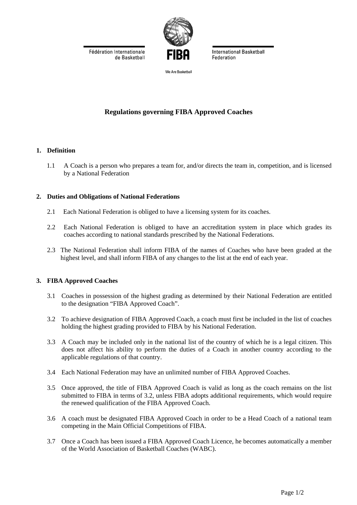Fédération Internationale de Basketball



**International Basketball Federation** 

Ma Ara Rockatholl

# **Regulations governing FIBA Approved Coaches**

### **1. Definition**

1.1 A Coach is a person who prepares a team for, and/or directs the team in, competition, and is licensed by a National Federation

### **2. Duties and Obligations of National Federations**

- 2.1 Each National Federation is obliged to have a licensing system for its coaches.
- 2.2 Each National Federation is obliged to have an accreditation system in place which grades its coaches according to national standards prescribed by the National Federations.
- 2.3 The National Federation shall inform FIBA of the names of Coaches who have been graded at the highest level, and shall inform FIBA of any changes to the list at the end of each year.

### **3. FIBA Approved Coaches**

- 3.1 Coaches in possession of the highest grading as determined by their National Federation are entitled to the designation "FIBA Approved Coach".
- 3.2 To achieve designation of FIBA Approved Coach, a coach must first be included in the list of coaches holding the highest grading provided to FIBA by his National Federation.
- 3.3 A Coach may be included only in the national list of the country of which he is a legal citizen. This does not affect his ability to perform the duties of a Coach in another country according to the applicable regulations of that country.
- 3.4 Each National Federation may have an unlimited number of FIBA Approved Coaches.
- 3.5 Once approved, the title of FIBA Approved Coach is valid as long as the coach remains on the list submitted to FIBA in terms of 3.2, unless FIBA adopts additional requirements, which would require the renewed qualification of the FIBA Approved Coach.
- 3.6 A coach must be designated FIBA Approved Coach in order to be a Head Coach of a national team competing in the Main Official Competitions of FIBA.
- 3.7 Once a Coach has been issued a FIBA Approved Coach Licence, he becomes automatically a member of the World Association of Basketball Coaches (WABC).